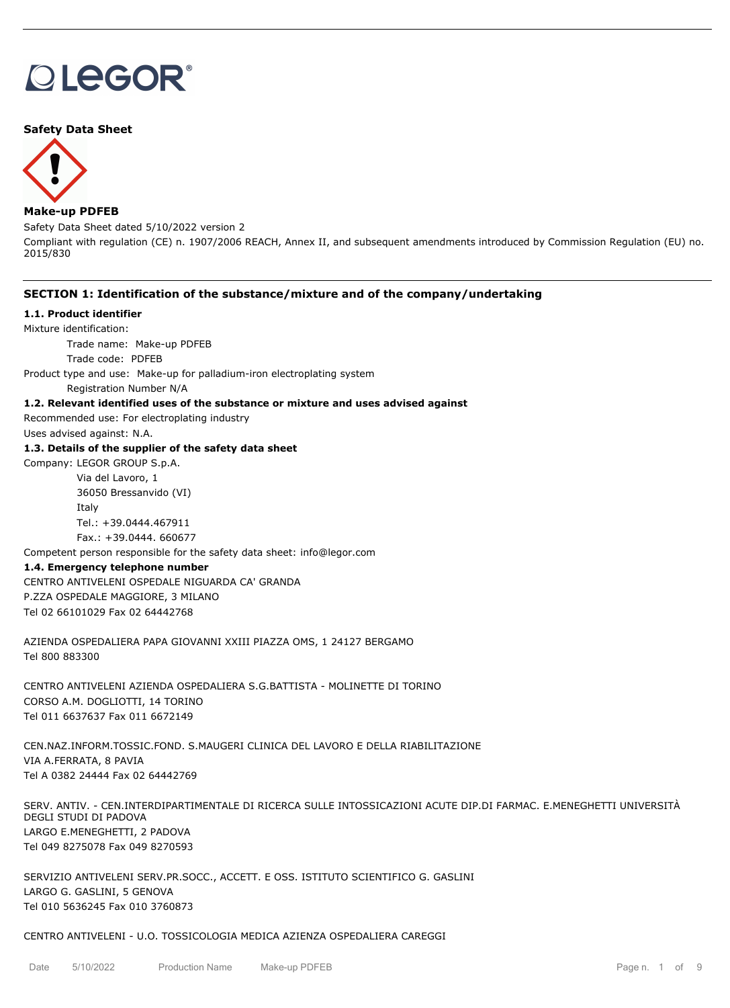# **OLEGOR®**

# **Safety Data Sheet**



# **Make-up PDFEB**

Safety Data Sheet dated 5/10/2022 version 2

Compliant with regulation (CE) n. 1907/2006 REACH, Annex II, and subsequent amendments introduced by Commission Regulation (EU) no. 2015/830

# **SECTION 1: Identification of the substance/mixture and of the company/undertaking**

# **1.1. Product identifier**

Mixture identification:

Trade name: Make-up PDFEB

Trade code: PDFEB

Product type and use: Make-up for palladium-iron electroplating system

Registration Number N/A

#### **1.2. Relevant identified uses of the substance or mixture and uses advised against**

Recommended use: For electroplating industry

Uses advised against: N.A.

# **1.3. Details of the supplier of the safety data sheet**

Company: LEGOR GROUP S.p.A. Via del Lavoro, 1 36050 Bressanvido (VI) Italy Tel.: +39.0444.467911

Fax.: +39.0444. 660677

Competent person responsible for the safety data sheet: info@legor.com

# **1.4. Emergency telephone number**

CENTRO ANTIVELENI OSPEDALE NIGUARDA CA' GRANDA P.ZZA OSPEDALE MAGGIORE, 3 MILANO Tel 02 66101029 Fax 02 64442768

AZIENDA OSPEDALIERA PAPA GIOVANNI XXIII PIAZZA OMS, 1 24127 BERGAMO Tel 800 883300

CENTRO ANTIVELENI AZIENDA OSPEDALIERA S.G.BATTISTA - MOLINETTE DI TORINO CORSO A.M. DOGLIOTTI, 14 TORINO Tel 011 6637637 Fax 011 6672149

CEN.NAZ.INFORM.TOSSIC.FOND. S.MAUGERI CLINICA DEL LAVORO E DELLA RIABILITAZIONE VIA A.FERRATA, 8 PAVIA Tel A 0382 24444 Fax 02 64442769

SERV. ANTIV. - CEN.INTERDIPARTIMENTALE DI RICERCA SULLE INTOSSICAZIONI ACUTE DIP.DI FARMAC. E.MENEGHETTI UNIVERSITÀ DEGLI STUDI DI PADOVA LARGO E.MENEGHETTI, 2 PADOVA Tel 049 8275078 Fax 049 8270593

SERVIZIO ANTIVELENI SERV.PR.SOCC., ACCETT. E OSS. ISTITUTO SCIENTIFICO G. GASLINI LARGO G. GASLINI, 5 GENOVA Tel 010 5636245 Fax 010 3760873

CENTRO ANTIVELENI - U.O. TOSSICOLOGIA MEDICA AZIENZA OSPEDALIERA CAREGGI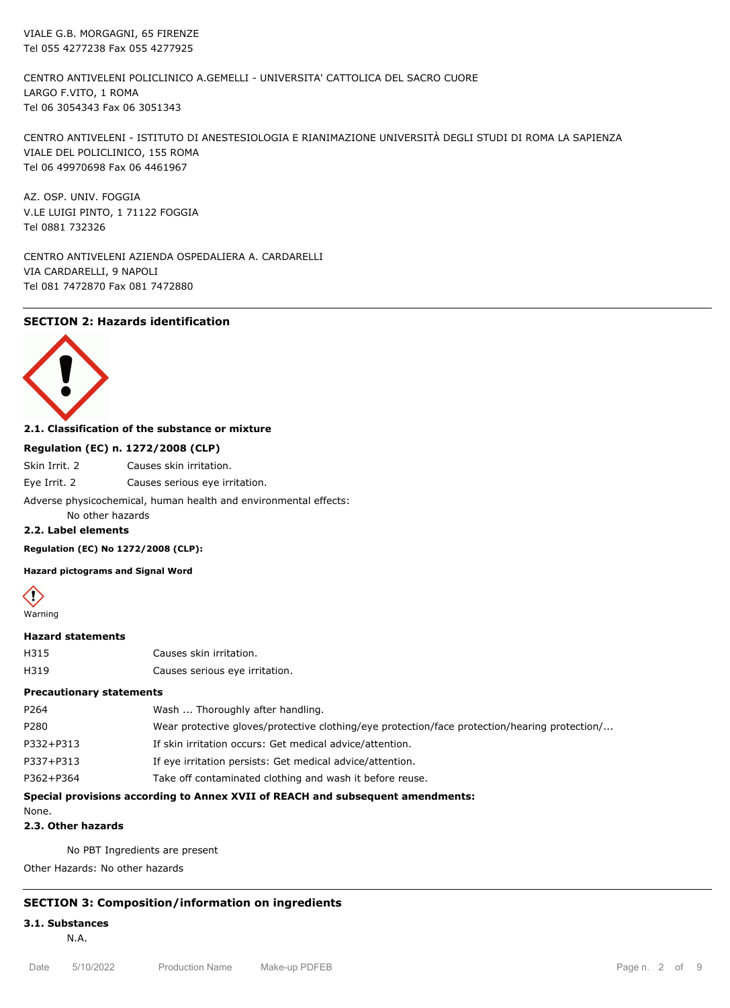VIALE G.B. MORGAGNI, 65 FIRENZE Tel 055 4277238 Fax 055 4277925

CENTRO ANTIVELENI POLICLINICO A.GEMELLI - UNIVERSITA' CATTOLICA DEL SACRO CUORE LARGO F.VITO, 1 ROMA Tel 06 3054343 Fax 06 3051343

CENTRO ANTIVELENI - ISTITUTO DI ANESTESIOLOGIA E RIANIMAZIONE UNIVERSITÀ DEGLI STUDI DI ROMA LA SAPIENZA VIALE DEL POLICLINICO, 155 ROMA Tel 06 49970698 Fax 06 4461967

AZ. OSP. UNIV. FOGGIA V.LE LUIGI PINTO, 1 71122 FOGGIA Tel 0881 732326

CENTRO ANTIVELENI AZIENDA OSPEDALIERA A. CARDARELLI VIA CARDARELLI, 9 NAPOLI Tel 081 7472870 Fax 081 7472880

# **SECTION 2: Hazards identification**



# **2.1. Classification of the substance or mixture**

#### **Regulation (EC) n. 1272/2008 (CLP)**

Skin Irrit. 2 Causes skin irritation.

Eye Irrit. 2 Causes serious eye irritation.

Adverse physicochemical, human health and environmental effects:

No other hazards

# **2.2. Label elements**

**Regulation (EC) No 1272/2008 (CLP):**

**Hazard pictograms and Signal Word**



# **Hazard statements**

| H315 | Causes skin irritation.        |
|------|--------------------------------|
| H319 | Causes serious eye irritation. |

# **Precautionary statements**

| Special provisions according to Annex XVII of REACH and subsequent amendments: |                                                                                               |  |
|--------------------------------------------------------------------------------|-----------------------------------------------------------------------------------------------|--|
| P362+P364                                                                      | Take off contaminated clothing and wash it before reuse.                                      |  |
| P337+P313                                                                      | If eye irritation persists: Get medical advice/attention.                                     |  |
| P332+P313                                                                      | If skin irritation occurs: Get medical advice/attention.                                      |  |
| P280                                                                           | Wear protective gloves/protective clothing/eye protection/face protection/hearing protection/ |  |
| P <sub>264</sub>                                                               | Wash  Thoroughly after handling.                                                              |  |
|                                                                                |                                                                                               |  |

None.

**2.3. Other hazards**

No PBT Ingredients are present

Other Hazards: No other hazards

#### **SECTION 3: Composition/information on ingredients**

**3.1. Substances**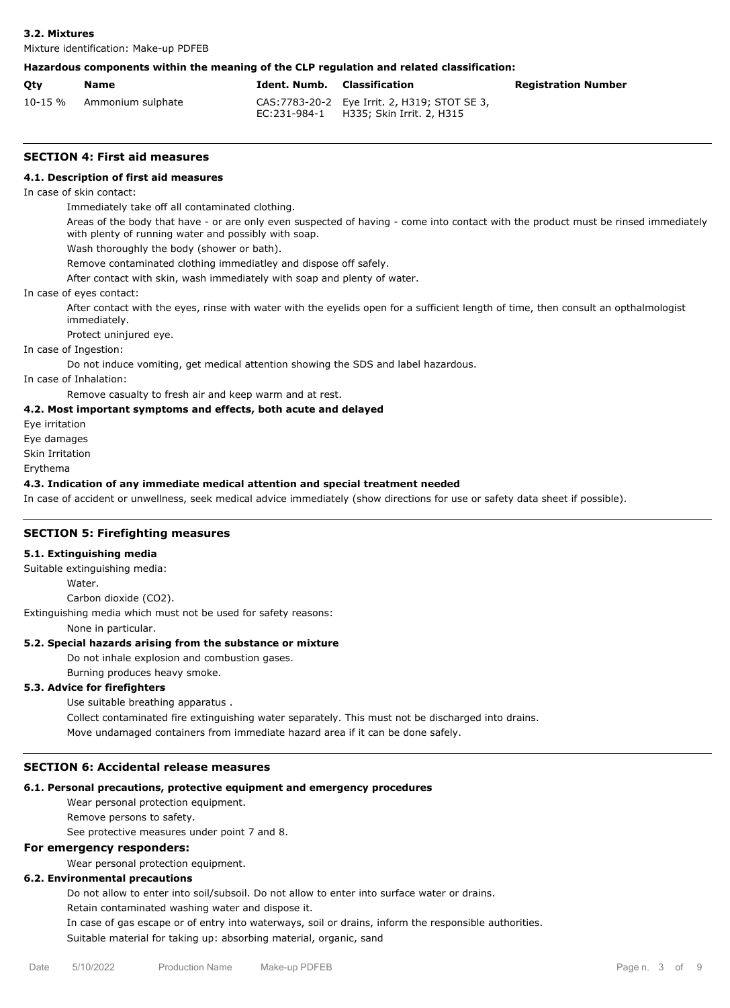Mixture identification: Make-up PDFEB

#### **Hazardous components within the meaning of the CLP regulation and related classification:**

| Qty | Name                      | Ident Numb. Classification |                                                                                         | <b>Registration Number</b> |
|-----|---------------------------|----------------------------|-----------------------------------------------------------------------------------------|----------------------------|
|     | 10-15 % Ammonium sulphate |                            | CAS: 7783-20-2 Eye Irrit. 2, H319; STOT SE 3,<br>EC:231-984-1 H335; Skin Irrit. 2, H315 |                            |

#### **SECTION 4: First aid measures**

#### **4.1. Description of first aid measures**

In case of skin contact:

Immediately take off all contaminated clothing.

Areas of the body that have - or are only even suspected of having - come into contact with the product must be rinsed immediately with plenty of running water and possibly with soap.

Wash thoroughly the body (shower or bath).

Remove contaminated clothing immediatley and dispose off safely.

After contact with skin, wash immediately with soap and plenty of water.

In case of eyes contact:

After contact with the eyes, rinse with water with the eyelids open for a sufficient length of time, then consult an opthalmologist immediately.

Protect uninjured eye.

In case of Ingestion:

Do not induce vomiting, get medical attention showing the SDS and label hazardous.

In case of Inhalation:

Remove casualty to fresh air and keep warm and at rest.

#### **4.2. Most important symptoms and effects, both acute and delayed**

Eye irritation

Eye damages

Skin Irritation

Erythema

#### **4.3. Indication of any immediate medical attention and special treatment needed**

In case of accident or unwellness, seek medical advice immediately (show directions for use or safety data sheet if possible).

#### **SECTION 5: Firefighting measures**

#### **5.1. Extinguishing media**

Suitable extinguishing media:

Water

Carbon dioxide (CO2).

Extinguishing media which must not be used for safety reasons:

None in particular.

# **5.2. Special hazards arising from the substance or mixture**

Do not inhale explosion and combustion gases.

Burning produces heavy smoke.

#### **5.3. Advice for firefighters**

Use suitable breathing apparatus . Collect contaminated fire extinguishing water separately. This must not be discharged into drains. Move undamaged containers from immediate hazard area if it can be done safely.

### **SECTION 6: Accidental release measures**

# **6.1. Personal precautions, protective equipment and emergency procedures**

Wear personal protection equipment.

Remove persons to safety.

See protective measures under point 7 and 8.

# **For emergency responders:**

Wear personal protection equipment.

# **6.2. Environmental precautions**

Do not allow to enter into soil/subsoil. Do not allow to enter into surface water or drains.

Retain contaminated washing water and dispose it.

In case of gas escape or of entry into waterways, soil or drains, inform the responsible authorities. Suitable material for taking up: absorbing material, organic, sand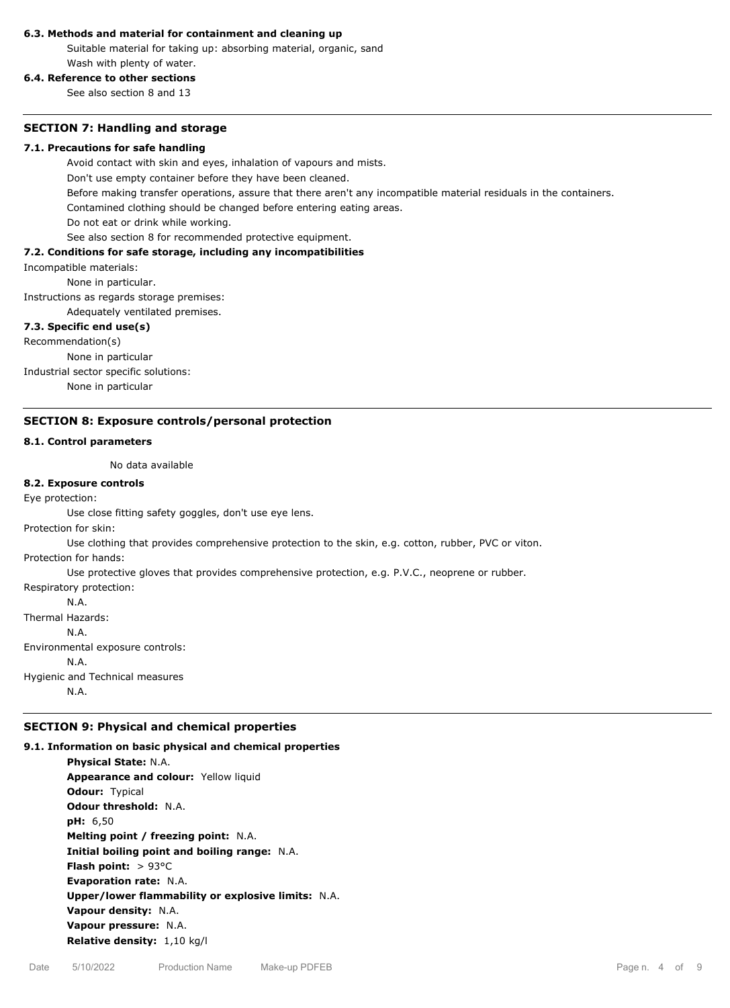#### **6.3. Methods and material for containment and cleaning up**

Suitable material for taking up: absorbing material, organic, sand Wash with plenty of water.

# **6.4. Reference to other sections**

See also section 8 and 13

#### **SECTION 7: Handling and storage**

#### **7.1. Precautions for safe handling**

Avoid contact with skin and eyes, inhalation of vapours and mists.

Don't use empty container before they have been cleaned.

Before making transfer operations, assure that there aren't any incompatible material residuals in the containers.

Contamined clothing should be changed before entering eating areas.

Do not eat or drink while working.

See also section 8 for recommended protective equipment.

#### **7.2. Conditions for safe storage, including any incompatibilities**

Incompatible materials:

None in particular.

Instructions as regards storage premises:

Adequately ventilated premises.

#### **7.3. Specific end use(s)**

Recommendation(s)

None in particular

Industrial sector specific solutions:

None in particular

#### **SECTION 8: Exposure controls/personal protection**

# **8.1. Control parameters**

No data available

#### **8.2. Exposure controls**

Eye protection:

Use close fitting safety goggles, don't use eye lens.

Protection for skin:

Use clothing that provides comprehensive protection to the skin, e.g. cotton, rubber, PVC or viton.

Protection for hands:

Use protective gloves that provides comprehensive protection, e.g. P.V.C., neoprene or rubber.

Respiratory protection: N.A.

Thermal Hazards: N.A. Environmental exposure controls: N.A. Hygienic and Technical measures

N.A.

# **SECTION 9: Physical and chemical properties**

**9.1. Information on basic physical and chemical properties Physical State:** N.A. **Appearance and colour:** Yellow liquid **Odour:** Typical **Odour threshold:** N.A. **pH:** 6,50 **Melting point / freezing point:** N.A. **Initial boiling point and boiling range:** N.A. **Flash point:** > 93°C **Evaporation rate:** N.A. **Upper/lower flammability or explosive limits:** N.A. **Vapour density:** N.A. **Vapour pressure:** N.A. **Relative density:** 1,10 kg/l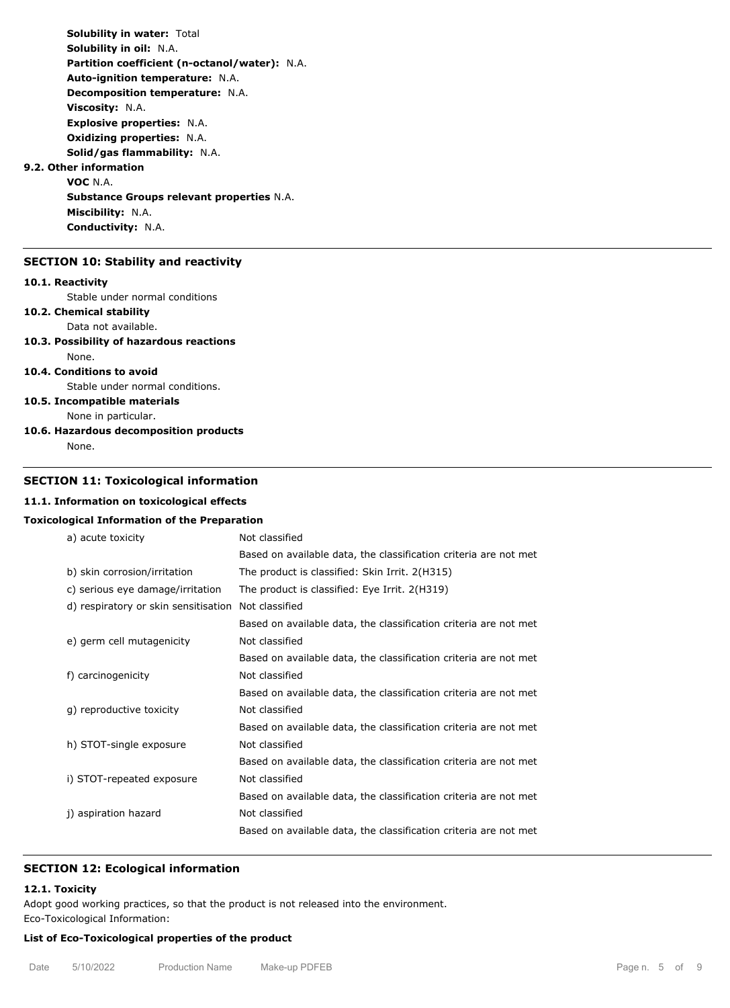**Solubility in water:** Total **Solubility in oil:** N.A. **Partition coefficient (n-octanol/water):** N.A. **Auto-ignition temperature:** N.A. **Decomposition temperature:** N.A. **Viscosity:** N.A. **Explosive properties:** N.A. **Oxidizing properties:** N.A. **Solid/gas flammability:** N.A. **9.2. Other information VOC** N.A. **Substance Groups relevant properties** N.A. **Miscibility:** N.A. **Conductivity:** N.A.

### **SECTION 10: Stability and reactivity**

#### **10.1. Reactivity**

Stable under normal conditions

# **10.2. Chemical stability**

Data not available.

#### **10.3. Possibility of hazardous reactions** None.

#### **10.4. Conditions to avoid**

Stable under normal conditions.

# **10.5. Incompatible materials**

None in particular. **10.6. Hazardous decomposition products**

None.

# **SECTION 11: Toxicological information**

#### **11.1. Information on toxicological effects**

#### **Toxicological Information of the Preparation**

| a) acute toxicity                    | Not classified                                                   |
|--------------------------------------|------------------------------------------------------------------|
|                                      | Based on available data, the classification criteria are not met |
| b) skin corrosion/irritation         | The product is classified: Skin Irrit. 2(H315)                   |
| c) serious eye damage/irritation     | The product is classified: Eye Irrit. 2(H319)                    |
| d) respiratory or skin sensitisation | Not classified                                                   |
|                                      | Based on available data, the classification criteria are not met |
| e) germ cell mutagenicity            | Not classified                                                   |
|                                      | Based on available data, the classification criteria are not met |
| f) carcinogenicity                   | Not classified                                                   |
|                                      | Based on available data, the classification criteria are not met |
| q) reproductive toxicity             | Not classified                                                   |
|                                      | Based on available data, the classification criteria are not met |
| h) STOT-single exposure              | Not classified                                                   |
|                                      | Based on available data, the classification criteria are not met |
| i) STOT-repeated exposure            | Not classified                                                   |
|                                      | Based on available data, the classification criteria are not met |
| j) aspiration hazard                 | Not classified                                                   |
|                                      | Based on available data, the classification criteria are not met |
|                                      |                                                                  |

#### **SECTION 12: Ecological information**

# **12.1. Toxicity**

Adopt good working practices, so that the product is not released into the environment.

Eco-Toxicological Information:

# **List of Eco-Toxicological properties of the product**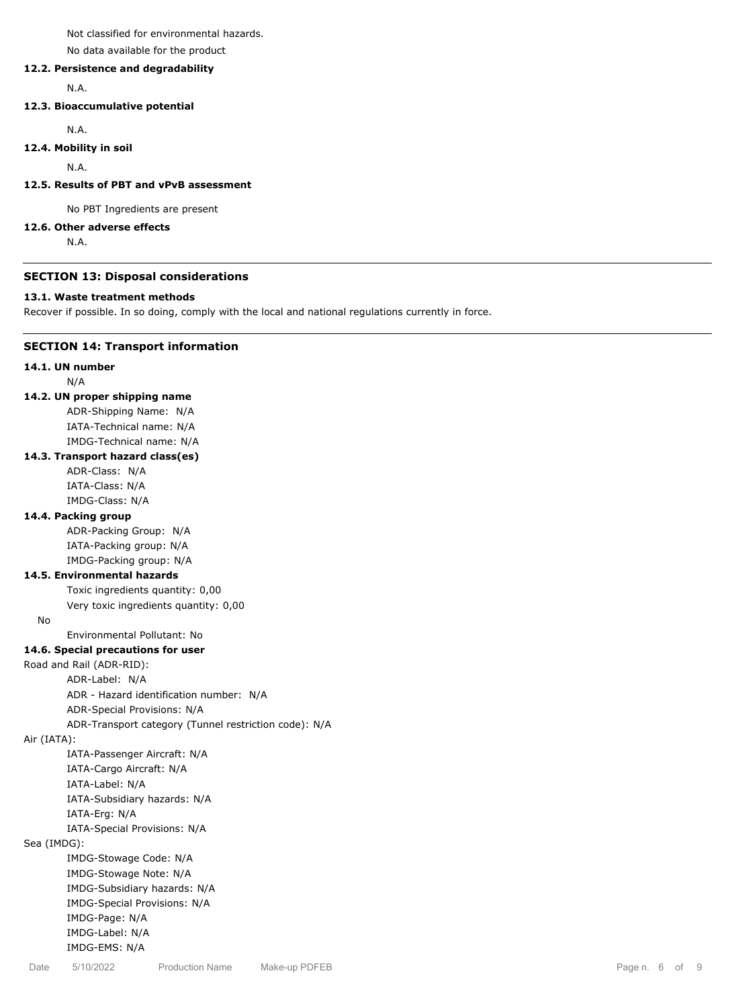Not classified for environmental hazards.

No data available for the product

# **12.2. Persistence and degradability**

N.A.

# **12.3. Bioaccumulative potential**

N.A.

#### **12.4. Mobility in soil**

N.A.

# **12.5. Results of PBT and vPvB assessment**

No PBT Ingredients are present

#### **12.6. Other adverse effects**

N.A.

#### **SECTION 13: Disposal considerations**

#### **13.1. Waste treatment methods**

Recover if possible. In so doing, comply with the local and national regulations currently in force.

# **SECTION 14: Transport information**

#### **14.1. UN number**

N/A

#### **14.2. UN proper shipping name**

ADR-Shipping Name: N/A IATA-Technical name: N/A IMDG-Technical name: N/A

# **14.3. Transport hazard class(es)**

ADR-Class: N/A IATA-Class: N/A IMDG-Class: N/A

#### **14.4. Packing group**

ADR-Packing Group: N/A IATA-Packing group: N/A IMDG-Packing group: N/A

# **14.5. Environmental hazards**

Toxic ingredients quantity: 0,00 Very toxic ingredients quantity: 0,00

No

# Environmental Pollutant: No

#### **14.6. Special precautions for user**

#### Road and Rail (ADR-RID):

ADR-Label: N/A

ADR - Hazard identification number: N/A

ADR-Special Provisions: N/A

ADR-Transport category (Tunnel restriction code): N/A

Air (IATA):

IATA-Passenger Aircraft: N/A IATA-Cargo Aircraft: N/A IATA-Label: N/A IATA-Subsidiary hazards: N/A IATA-Erg: N/A IATA-Special Provisions: N/A Sea (IMDG): IMDG-Stowage Code: N/A IMDG-Stowage Note: N/A

IMDG-Subsidiary hazards: N/A IMDG-Special Provisions: N/A

IMDG-Page: N/A IMDG-Label: N/A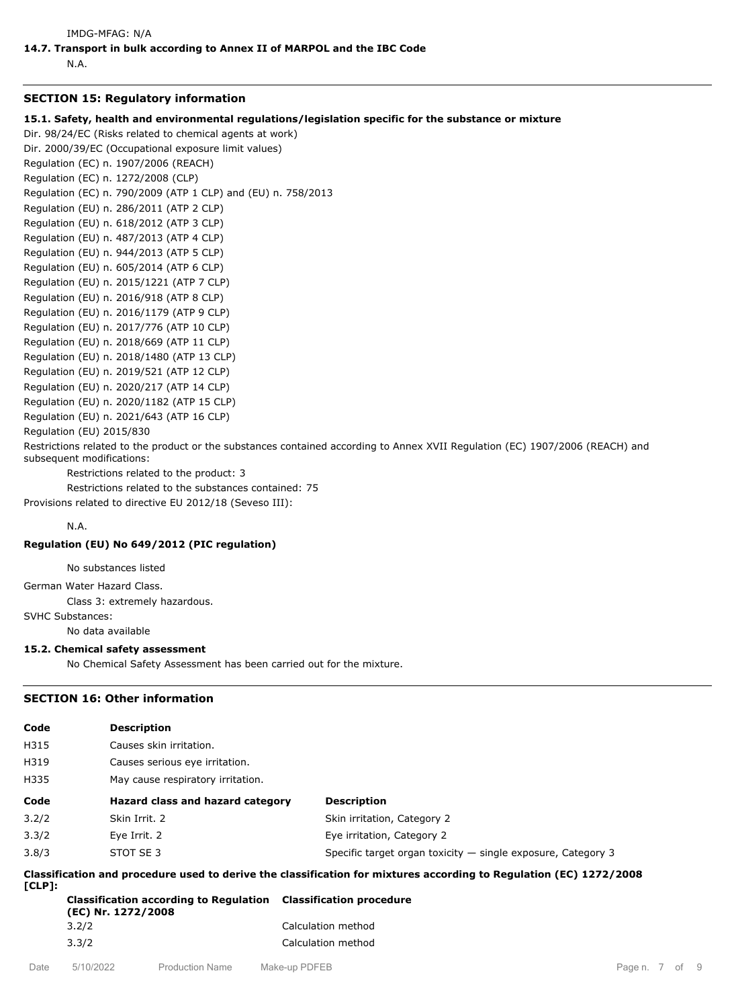N.A.

#### **SECTION 15: Regulatory information**

**15.1. Safety, health and environmental regulations/legislation specific for the substance or mixture**

Dir. 98/24/EC (Risks related to chemical agents at work) Dir. 2000/39/EC (Occupational exposure limit values)

Regulation (EC) n. 1907/2006 (REACH)

Regulation (EC) n. 1272/2008 (CLP)

Regulation (EC) n. 790/2009 (ATP 1 CLP) and (EU) n. 758/2013

Regulation (EU) n. 286/2011 (ATP 2 CLP)

Regulation (EU) n. 618/2012 (ATP 3 CLP)

Regulation (EU) n. 487/2013 (ATP 4 CLP)

Regulation (EU) n. 944/2013 (ATP 5 CLP)

Regulation (EU) n. 605/2014 (ATP 6 CLP)

Regulation (EU) n. 2015/1221 (ATP 7 CLP)

Regulation (EU) n. 2016/918 (ATP 8 CLP)

Regulation (EU) n. 2016/1179 (ATP 9 CLP)

Regulation (EU) n. 2017/776 (ATP 10 CLP) Regulation (EU) n. 2018/669 (ATP 11 CLP)

Regulation (EU) n. 2018/1480 (ATP 13 CLP)

Regulation (EU) n. 2019/521 (ATP 12 CLP)

Regulation (EU) n. 2020/217 (ATP 14 CLP)

Regulation (EU) n. 2020/1182 (ATP 15 CLP)

Regulation (EU) n. 2021/643 (ATP 16 CLP)

Regulation (EU) 2015/830

Restrictions related to the product or the substances contained according to Annex XVII Regulation (EC) 1907/2006 (REACH) and subsequent modifications:

Restrictions related to the product: 3

Restrictions related to the substances contained: 75 Provisions related to directive EU 2012/18 (Seveso III):

N.A.

# **Regulation (EU) No 649/2012 (PIC regulation)**

No substances listed

German Water Hazard Class.

Class 3: extremely hazardous.

SVHC Substances:

No data available

#### **15.2. Chemical safety assessment**

No Chemical Safety Assessment has been carried out for the mixture.

# **SECTION 16: Other information**

| Code                                                                                                                         | <b>Description</b>                |                                                                |  |
|------------------------------------------------------------------------------------------------------------------------------|-----------------------------------|----------------------------------------------------------------|--|
| H315                                                                                                                         | Causes skin irritation.           |                                                                |  |
| H319                                                                                                                         | Causes serious eye irritation.    |                                                                |  |
| H335                                                                                                                         | May cause respiratory irritation. |                                                                |  |
| Code                                                                                                                         | Hazard class and hazard category  | <b>Description</b>                                             |  |
| 3.2/2                                                                                                                        | Skin Irrit. 2                     | Skin irritation, Category 2                                    |  |
| 3.3/2                                                                                                                        | Eye Irrit. 2                      | Eve irritation, Category 2                                     |  |
| 3.8/3                                                                                                                        | STOT SE 3                         | Specific target organ toxicity $-$ single exposure, Category 3 |  |
| Classification and procedure used to derive the classification for mixtures according to Regulation (EC) 1272/2008<br>ICLP1: |                                   |                                                                |  |

| Classification according to Regulation Classification procedure<br>(EC) Nr. 1272/2008 |                    |
|---------------------------------------------------------------------------------------|--------------------|
| 3.2/2                                                                                 | Calculation method |
| 3.3/2                                                                                 | Calculation method |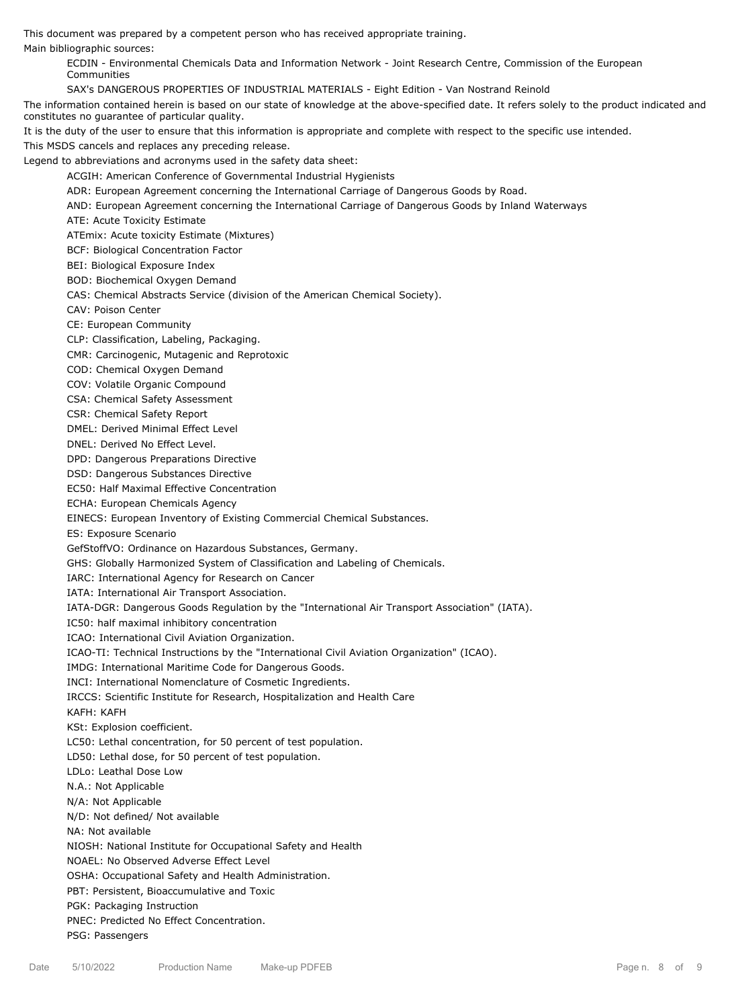This document was prepared by a competent person who has received appropriate training.

Main bibliographic sources:

ECDIN - Environmental Chemicals Data and Information Network - Joint Research Centre, Commission of the European Communities

SAX's DANGEROUS PROPERTIES OF INDUSTRIAL MATERIALS - Eight Edition - Van Nostrand Reinold

The information contained herein is based on our state of knowledge at the above-specified date. It refers solely to the product indicated and constitutes no guarantee of particular quality.

It is the duty of the user to ensure that this information is appropriate and complete with respect to the specific use intended.

This MSDS cancels and replaces any preceding release.

Legend to abbreviations and acronyms used in the safety data sheet:

ACGIH: American Conference of Governmental Industrial Hygienists

ADR: European Agreement concerning the International Carriage of Dangerous Goods by Road.

AND: European Agreement concerning the International Carriage of Dangerous Goods by Inland Waterways

ATE: Acute Toxicity Estimate

ATEmix: Acute toxicity Estimate (Mixtures)

BCF: Biological Concentration Factor

BEI: Biological Exposure Index

BOD: Biochemical Oxygen Demand

CAS: Chemical Abstracts Service (division of the American Chemical Society).

CAV: Poison Center

CE: European Community

CLP: Classification, Labeling, Packaging.

CMR: Carcinogenic, Mutagenic and Reprotoxic

COD: Chemical Oxygen Demand

COV: Volatile Organic Compound

CSA: Chemical Safety Assessment

CSR: Chemical Safety Report

DMEL: Derived Minimal Effect Level

DNEL: Derived No Effect Level.

DPD: Dangerous Preparations Directive

DSD: Dangerous Substances Directive

EC50: Half Maximal Effective Concentration

ECHA: European Chemicals Agency

EINECS: European Inventory of Existing Commercial Chemical Substances.

ES: Exposure Scenario

GefStoffVO: Ordinance on Hazardous Substances, Germany.

GHS: Globally Harmonized System of Classification and Labeling of Chemicals.

IARC: International Agency for Research on Cancer

IATA: International Air Transport Association.

IATA-DGR: Dangerous Goods Regulation by the "International Air Transport Association" (IATA).

IC50: half maximal inhibitory concentration

ICAO: International Civil Aviation Organization.

ICAO-TI: Technical Instructions by the "International Civil Aviation Organization" (ICAO).

IMDG: International Maritime Code for Dangerous Goods.

INCI: International Nomenclature of Cosmetic Ingredients.

IRCCS: Scientific Institute for Research, Hospitalization and Health Care

KAFH: KAFH

KSt: Explosion coefficient.

LC50: Lethal concentration, for 50 percent of test population.

LD50: Lethal dose, for 50 percent of test population.

LDLo: Leathal Dose Low

N.A.: Not Applicable

N/A: Not Applicable

N/D: Not defined/ Not available

NA: Not available

NIOSH: National Institute for Occupational Safety and Health

NOAEL: No Observed Adverse Effect Level

OSHA: Occupational Safety and Health Administration.

PBT: Persistent, Bioaccumulative and Toxic

PGK: Packaging Instruction

PNEC: Predicted No Effect Concentration.

PSG: Passengers